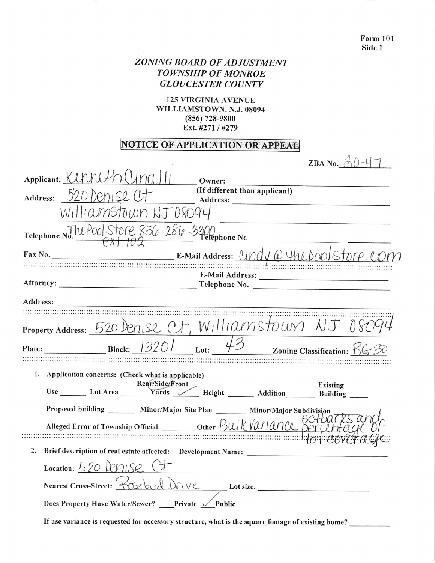| <b>Form 101</b><br>Side 1                                                                                                                                                                                          |  |
|--------------------------------------------------------------------------------------------------------------------------------------------------------------------------------------------------------------------|--|
| <b>ZONING BOARD OF ADJUSTMENT</b><br><b>TOWNSHIP OF MONROE</b><br><b>GLOUCESTER COUNTY</b>                                                                                                                         |  |
| <b>125 VIRGINIA AVENUE</b><br>WILLIAMSTOWN, N.J. 08094<br>$(856)$ 728-9800<br>Ext. #271 / #279                                                                                                                     |  |
| <b>NOTICE OF APPLICATION OR APPEAL</b>                                                                                                                                                                             |  |
| ZBA No. $AD-47$<br>Applicant: KUUNUH (4nd)                                                                                                                                                                         |  |
| Owner:<br>(If different than applicant)<br>$_{\text{Address:}}$ 520 Denise U<br>Williamstown NJ 08094                                                                                                              |  |
| Telephone No. 7 M POOL STOPE 856-286-3300                                                                                                                                                                          |  |
| Attorney:<br>Telephone No.                                                                                                                                                                                         |  |
| Address:                                                                                                                                                                                                           |  |
| Property Address: 520 Denise Ct, Williamstown NJ 08                                                                                                                                                                |  |
| Zoning Classification: $Ks^2$ 30<br>Plate:<br><b>Block:</b><br>Lot:                                                                                                                                                |  |
| 1. Application concerns: (Check what is applicable)<br>Rear/Side/Front<br>Use Lot Area Kear/Side/Front Height ______ Addition Existing ________<br>Use Lot Area Yards Tards Height ______ Addition Building ______ |  |
| Proposed building ________ Minor/Major Site Plan _______ Minor/Major Subdivision                                                                                                                                   |  |
| 2.<br>Brief description of real estate affected: Development Name: ___________________                                                                                                                             |  |
| Location: $520$ PMISO<br>Nearest Cross-Street:                                                                                                                                                                     |  |
| Does Property Have Water/Sewer? Private V Public                                                                                                                                                                   |  |

If use variance is requested for accessory structure, what is the square footage of existing home?